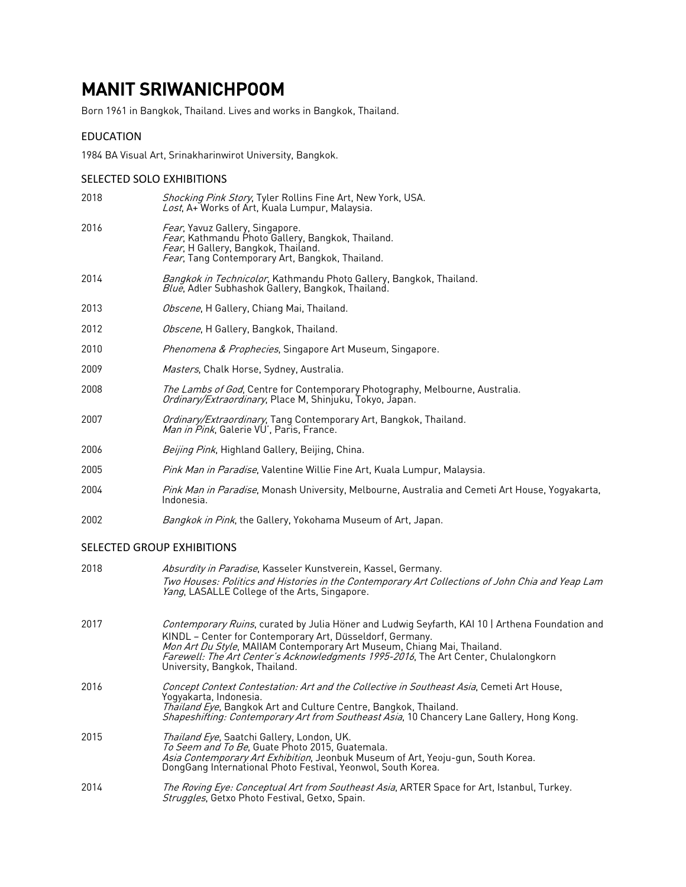# MANIT SRIWANICHPOOM

Born 1961 in Bangkok, Thailand. Lives and works in Bangkok, Thailand.

## EDUCATION

1984 BA Visual Art, Srinakharinwirot University, Bangkok.

### SELECTED SOLO EXHIBITIONS

- 2018 *Shocking Pink Story*, Tyler Rollins Fine Art, New York, USA. *Lost*, A+ Works of Art, Kuala Lumpur, Malaysia. 2016 *Fear*, Yavuz Gallery, Singapore. *Fear*, Kathmandu Photo Gallery, Bangkok, Thailand. *Fear*, H Gallery, Bangkok, Thailand. Fear, Tang Contemporary Art, Bangkok, Thailand.
- 2014 Bangkok in Technicolor, Kathmandu Photo Gallery, Bangkok, Thailand. Blue, Adler Subhashok Gallery, Bangkok, Thailand.
- 2013 *Obscene*, H Gallery, Chiang Mai, Thailand.
- 2012 Obscene, H Gallery, Bangkok, Thailand.
- 2010 *Phenomena & Prophecies*, Singapore Art Museum, Singapore.
- 2009 Masters, Chalk Horse, Sydney, Australia.
- 2008 The Lambs of God, Centre for Contemporary Photography, Melbourne, Australia.<br>Ordinary/Extraordinary, Place M, Shinjuku, Tokyo, Japan.
- 2007 *Ordinary/Extraordinary*, Tang Contemporary Art, Bangkok, Thailand. *Man in Pink*, Galerie VU', Paris, France.
- 2006 Beijing Pink, Highland Gallery, Beijing, China.
- 2005 *Pink Man in Paradise*, Valentine Willie Fine Art, Kuala Lumpur, Malaysia.
- 2004 *Pink Man in Paradise*, Monash University, Melbourne, Australia and Cemeti Art House, Yogyakarta, Indonesia.
- 2002 Bangkok in Pink, the Gallery, Yokohama Museum of Art, Japan.

# SELECTED GROUP EXHIBITIONS

| 2018 | Absurdity in Paradise, Kasseler Kunstverein, Kassel, Germany.<br>Two Houses: Politics and Histories in the Contemporary Art Collections of John Chia and Yeap Lam<br><i>Yang</i> , LASALLE College of the Arts, Singapore.                                                                                                                                               |
|------|--------------------------------------------------------------------------------------------------------------------------------------------------------------------------------------------------------------------------------------------------------------------------------------------------------------------------------------------------------------------------|
| 2017 | <i>Contemporary Ruins</i> , curated by Julia Höner and Ludwig Seyfarth, KAI 10   Arthena Foundation and<br>KINDL - Center for Contemporary Art, Düsseldorf, Germany.<br>Mon Art Du Style, MAIIAM Contemporary Art Museum, Chiang Mai, Thailand.<br>Farewell: The Art Center's Acknowledgments 1995-2016, The Art Center, Chulalongkorn<br>University, Bangkok, Thailand. |
| 2016 | Concept Context Contestation: Art and the Collective in Southeast Asia, Cemeti Art House,<br>Yogyakarta, Indonesia.<br><i>Thailand Eye</i> , Bangkok Art and Culture Centre, Bangkok, Thailand.<br>Shapeshifting: Contemporary Art from Southeast Asia, 10 Chancery Lane Gallery, Hong Kong.                                                                             |
| 2015 | <i>Thailand Eye</i> , Saatchi Gallery, London, UK.<br>To Seem and To Be, Guate Photo 2015, Guatemala.<br>Asia Contemporary Art Exhibition, Jeonbuk Museum of Art, Yeoju-gun, South Korea.<br>DongGang International Photo Festival, Yeonwol, South Korea.                                                                                                                |
| 2014 | The Roving Eye: Conceptual Art from Southeast Asia, ARTER Space for Art, Istanbul, Turkey.<br><i>Struggles</i> , Getxo Photo Festival, Getxo, Spain.                                                                                                                                                                                                                     |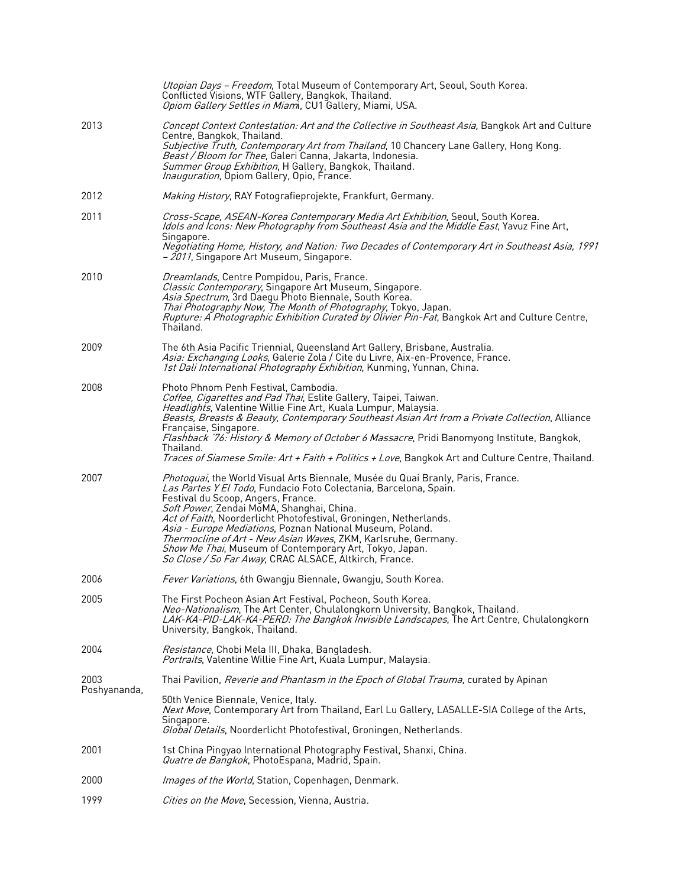|                      | Utopian Days - Freedom, Total Museum of Contemporary Art, Seoul, South Korea.<br>Conflicted Visions, WTF Gallery, Bangkok, Thailand.<br>Opiom Gallery Settles in Miami, CU1 Gallery, Miami, USA.                                                                                                                                                                                                                                                                                                                                                                 |
|----------------------|------------------------------------------------------------------------------------------------------------------------------------------------------------------------------------------------------------------------------------------------------------------------------------------------------------------------------------------------------------------------------------------------------------------------------------------------------------------------------------------------------------------------------------------------------------------|
| 2013                 | Concept Context Contestation: Art and the Collective in Southeast Asia, Bangkok Art and Culture<br>Centre, Bangkok, Thailand.<br>Subjective Truth, Contemporary Art from Thailand, 10 Chancery Lane Gallery, Hong Kong.<br>Beast / Bloom for Thee, Galeri Canna, Jakarta, Indonesia.<br>Summer Group Exhibition, H Gallery, Bangkok, Thailand.<br>Inauguration, Opiom Gallery, Opio, France.                                                                                                                                                                     |
| 2012                 | Making History, RAY Fotografieprojekte, Frankfurt, Germany.                                                                                                                                                                                                                                                                                                                                                                                                                                                                                                      |
| 2011                 | Cross-Scape, ASEAN-Korea Contemporary Media Art Exhibition, Seoul, South Korea.<br>Idols and Icons: New Photography from Southeast Asia and the Middle East, Yavuz Fine Art,<br>Singapore.<br>Negotiating Home, History, and Nation: Two Decades of Contemporary Art in Southeast Asia, 1991<br>- 2011, Singapore Art Museum, Singapore.                                                                                                                                                                                                                         |
| 2010                 | Dreamlands, Centre Pompidou, Paris, France.<br>Classic Contemporary, Singapore Art Museum, Singapore.<br>Asia Spectrum, 3rd Daegu Photo Biennale, South Korea.<br>Thai Photography Now, The Month of Photography, Tokyo, Japan.<br>Rupture: A Photographic Exhibition Curated by Olivier Pin-Fat, Bangkok Art and Culture Centre,<br>Thailand.                                                                                                                                                                                                                   |
| 2009                 | The 6th Asia Pacific Triennial, Queensland Art Gallery, Brisbane, Australia.<br>Asia: Exchanging Looks, Galerie Zola / Cite du Livre, Aix-en-Provence, France.<br><i>1st Dali International Photography Exhibition</i> , Kunming, Yunnan, China.                                                                                                                                                                                                                                                                                                                 |
| 2008                 | Photo Phnom Penh Festival, Cambodia.<br>Coffee, Cigarettes and Pad Thai, Eslite Gallery, Taipei, Taiwan.<br>Headlights, Valentine Willie Fine Art, Kuala Lumpur, Malaysia.<br>Beasts, Breasts & Beauty, Contemporary Southeast Asian Art from a Private Collection, Alliance<br>Française, Singapore.<br>Flashback '76: History & Memory of October 6 Massacre, Pridi Banomyong Institute, Bangkok,<br>Thailand.<br>Traces of Siamese Smile: Art + Faith + Politics + Love, Bangkok Art and Culture Centre, Thailand.                                            |
| 2007                 | Photoquai, the World Visual Arts Biennale, Musée du Quai Branly, Paris, France.<br>Las Partes Y El Todo, Fundacio Foto Colectania, Barcelona, Spain.<br>Festival du Scoop, Angers, France.<br>Soft Power, Zendai MoMA, Shanghai, China.<br>Act of Faith, Noorderlicht Photofestival, Groningen, Netherlands.<br>Asia - Europe Mediations, Poznan National Museum, Poland.<br>Thermocline of Art - New Asian Waves, ZKM, Karlsruhe, Germany.<br>Show Me Thai, Museum of Contemporary Art, Tokyo, Japan.<br>So Close / So Far Away, CRAC ALSACE, Altkirch, France. |
| 2006                 | Fever Variations, 6th Gwangju Biennale, Gwangju, South Korea.                                                                                                                                                                                                                                                                                                                                                                                                                                                                                                    |
| 2005                 | The First Pocheon Asian Art Festival, Pocheon, South Korea.<br>Neo-Nationalism, The Art Center, Chulalongkorn University, Bangkok, Thailand.<br>LAK-KA-PID-LAK-KA-PERD: The Bangkok Invisible Landscapes, The Art Centre, Chulalongkorn<br>University, Bangkok, Thailand.                                                                                                                                                                                                                                                                                        |
| 2004                 | <i>Resistance</i> , Chobi Mela III, Dhaka, Bangladesh.<br>Portraits, Valentine Willie Fine Art, Kuala Lumpur, Malaysia.                                                                                                                                                                                                                                                                                                                                                                                                                                          |
| 2003<br>Poshyananda, | Thai Pavilion, Reverie and Phantasm in the Epoch of Global Trauma, curated by Apinan                                                                                                                                                                                                                                                                                                                                                                                                                                                                             |
|                      | 50th Venice Biennale, Venice, Italy.<br>Next Move, Contemporary Art from Thailand, Earl Lu Gallery, LASALLE-SIA College of the Arts,<br>Singapore.<br>Global Details, Noorderlicht Photofestival, Groningen, Netherlands.                                                                                                                                                                                                                                                                                                                                        |
| 2001                 | 1st China Pingyao International Photography Festival, Shanxi, China.<br>Quatre de Bangkok, PhotoEspana, Madrid, Spain.                                                                                                                                                                                                                                                                                                                                                                                                                                           |
| 2000                 | Images of the World, Station, Copenhagen, Denmark.                                                                                                                                                                                                                                                                                                                                                                                                                                                                                                               |
| 1999                 | Cities on the Move, Secession, Vienna, Austria.                                                                                                                                                                                                                                                                                                                                                                                                                                                                                                                  |